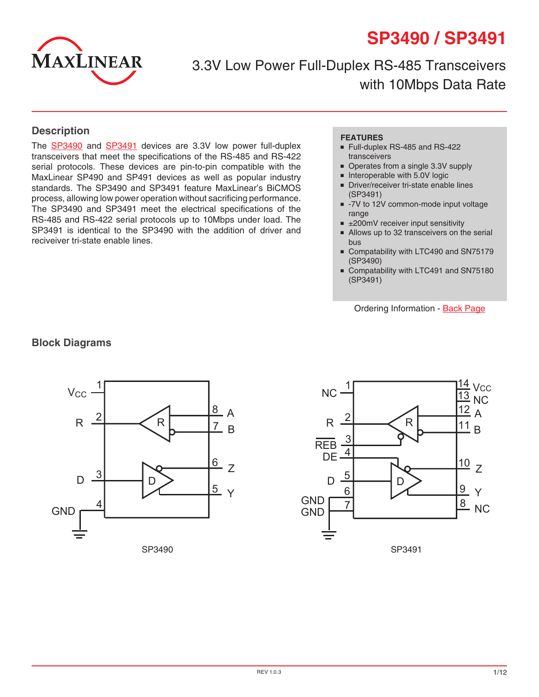



3.3V Low Power Full-Duplex RS-485 Transceivers with 10Mbps Data Rate

#### **Description**

The [SP349](http://www.exar.com/SP3490)0 and [SP3491](http://www.exar.com/SP3491) devices are 3.3V low power full-duplex transceivers that meet the specifications of the RS-485 and RS-422 serial protocols. These devices are pin-to-pin compatible with the MaxLinear SP490 and SP491 devices as well as popular industry standards. The SP3490 and SP3491 feature MaxLinear's BiCMOS process, allowing low power operation without sacrificing performance. The SP3490 and SP3491 meet the electrical specifications of the RS-485 and RS-422 serial protocols up to 10Mbps under load. The SP3491 is identical to the SP3490 with the addition of driver and reciveiver tri-state enable lines.

#### **FEATURES**

- Full-duplex RS-485 and RS-422 transceivers
- Operates from a single 3.3V supply
- Interoperable with 5.0V logic
- Driver/receiver tri-state enable lines (SP3491)
- -7V to 12V common-mode input voltage range
- ±200mV receiver input sensitivity
- Allows up to 32 transceivers on the serial bus
- Compatability with LTC490 and SN75179 (SP3490)
- Compatability with LTC491 and SN75180 (SP3491)

Ordering Information - [Back Page](#page-11-0)





#### **Block Diagrams**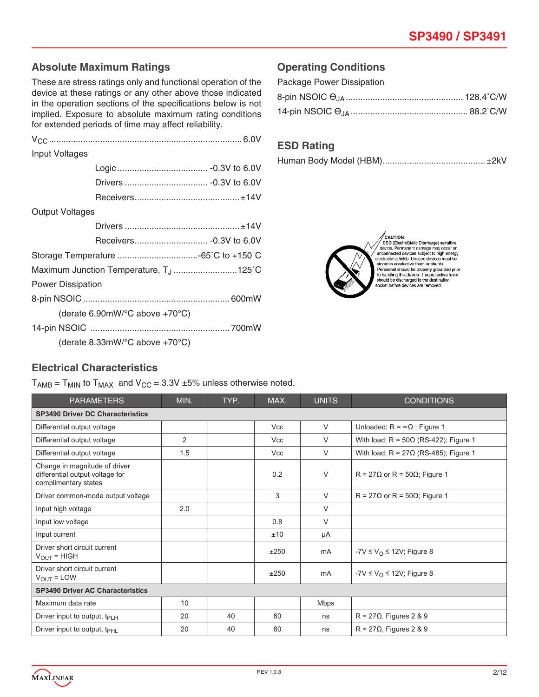### **Absolute Maximum Ratings**

These are stress ratings only and functional operation of the device at these ratings or any other above those indicated in the operation sections of the specifications below is not implied. Exposure to absolute maximum rating conditions for extended periods of time may affect reliability.

| Input Voltages           |                                                         |  |
|--------------------------|---------------------------------------------------------|--|
|                          |                                                         |  |
|                          |                                                         |  |
|                          |                                                         |  |
| <b>Output Voltages</b>   |                                                         |  |
|                          |                                                         |  |
|                          |                                                         |  |
|                          |                                                         |  |
|                          | Maximum Junction Temperature, T <sub>J</sub> 125°C      |  |
| <b>Power Dissipation</b> |                                                         |  |
|                          |                                                         |  |
|                          | (derate 6.90mW/ $\degree$ C above +70 $\degree$ C)      |  |
|                          |                                                         |  |
|                          | (derate $8.33$ mW/ $^{\circ}$ C above +70 $^{\circ}$ C) |  |

## **Operating Conditions**

| Package Power Dissipation |  |
|---------------------------|--|
|                           |  |
|                           |  |

### **ESD Rating**

|--|--|



CAUTION:<br>
ESD (ElectroStatic Discharge) sensitive<br>
device. Permanent damage may occur on<br>
anconnected devices subject to high energy<br>
electrostatic fields. Unused devices must be<br>
stored in conductive foam or shutts.<br>
Demo soee in conductive ideal property grounded prior<br>to handling this device. The protective foam<br>should be discharged to the destination<br>socket before devices are removed.

# **Electrical Characteristics**

 $T_{AMB}$  =  $T_{MIN}$  to  $T_{MAX}$  and  $V_{CC}$  = 3.3V  $\pm$ 5% unless otherwise noted.

| <b>PARAMETERS</b>                                                                        | MIN.           | TYP. | MAX.       | <b>UNITS</b> | <b>CONDITIONS</b>                            |  |  |  |
|------------------------------------------------------------------------------------------|----------------|------|------------|--------------|----------------------------------------------|--|--|--|
| <b>SP3490 Driver DC Characteristics</b>                                                  |                |      |            |              |                                              |  |  |  |
| Differential output voltage                                                              |                |      | <b>Vcc</b> | $\vee$       | Unloaded; $R = \infty \Omega$ ; Figure 1     |  |  |  |
| Differential output voltage                                                              | $\overline{2}$ |      | <b>Vcc</b> | $\vee$       | With load; $R = 50\Omega$ (RS-422); Figure 1 |  |  |  |
| Differential output voltage                                                              | 1.5            |      | <b>Vcc</b> | V            | With load; $R = 27\Omega$ (RS-485); Figure 1 |  |  |  |
| Change in magnitude of driver<br>differential output voltage for<br>complimentary states |                |      | 0.2        | V            | $R = 27\Omega$ or R = 50 $\Omega$ ; Figure 1 |  |  |  |
| Driver common-mode output voltage                                                        |                |      | 3          | V            | $R = 27\Omega$ or $R = 50\Omega$ ; Figure 1  |  |  |  |
| Input high voltage                                                                       | 2.0            |      |            | V            |                                              |  |  |  |
| Input low voltage                                                                        |                |      | 0.8        | V            |                                              |  |  |  |
| Input current                                                                            |                |      | ±10        | μA           |                                              |  |  |  |
| Driver short circuit current<br>$V_{\text{OUT}}$ = HIGH                                  |                |      | ±250       | mA           | $-YV \le V_{\Omega} \le 12V$ ; Figure 8      |  |  |  |
| Driver short circuit current<br>$V_{\text{OUT}}$ = LOW                                   |                |      | ±250       | mA           | $-7V \le V_{\Omega} \le 12V$ ; Figure 8      |  |  |  |
| <b>SP3490 Driver AC Characteristics</b>                                                  |                |      |            |              |                                              |  |  |  |
| Maximum data rate                                                                        | 10             |      |            | Mbps         |                                              |  |  |  |
| Driver input to output, $t_{\text{PLH}}$                                                 | 20             | 40   | 60         | ns           | $R = 27\Omega$ , Figures 2 & 9               |  |  |  |
| Driver input to output, t <sub>PHL</sub>                                                 | 20             | 40   | 60         | ns           | $R = 27\Omega$ , Figures 2 & 9               |  |  |  |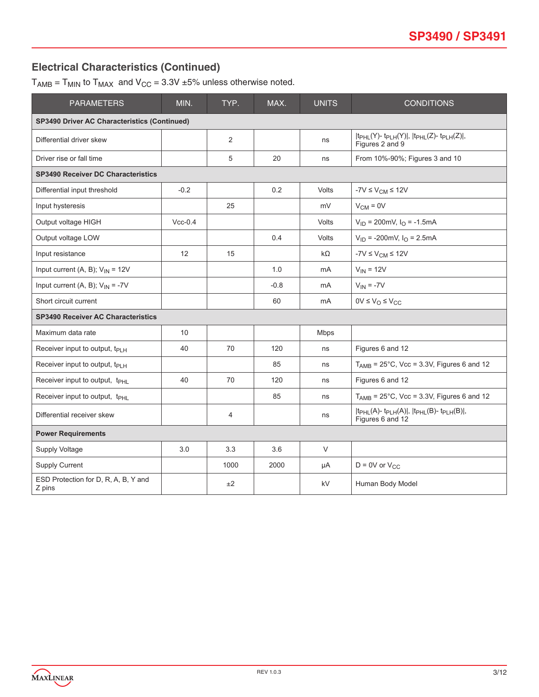## **Electrical Characteristics (Continued)**

 $T_{AMB}$  =  $T_{MIN}$  to  $T_{MAX}$  and  $V_{CC}$  = 3.3V ±5% unless otherwise noted.

| <b>PARAMETERS</b>                                   | MIN.      | TYP. | MAX.   | <b>UNITS</b>   | <b>CONDITIONS</b>                                                                                       |  |
|-----------------------------------------------------|-----------|------|--------|----------------|---------------------------------------------------------------------------------------------------------|--|
| <b>SP3490 Driver AC Characteristics (Continued)</b> |           |      |        |                |                                                                                                         |  |
| Differential driver skew                            |           | 2    |        | ns             | $ t_{PHL}(Y)-t_{PLH}(Y) ,  t_{PHL}(Z)-t_{PLH}(Z) ,$<br>Figures 2 and 9                                  |  |
| Driver rise or fall time                            |           | 5    | 20     | ns             | From 10%-90%; Figures 3 and 10                                                                          |  |
| <b>SP3490 Receiver DC Characteristics</b>           |           |      |        |                |                                                                                                         |  |
| Differential input threshold                        | $-0.2$    |      | 0.2    | <b>Volts</b>   | $-7V \leq V_{CM} \leq 12V$                                                                              |  |
| Input hysteresis                                    |           | 25   |        | mV             | $V_{CM} = 0V$                                                                                           |  |
| Output voltage HIGH                                 | $Vcc-0.4$ |      |        | <b>Volts</b>   | $V_{ID}$ = 200mV, $I_{O}$ = -1.5mA                                                                      |  |
| Output voltage LOW                                  |           |      | 0.4    | <b>Volts</b>   | $V_{ID}$ = -200mV, $I_{O}$ = 2.5mA                                                                      |  |
| Input resistance                                    | 12        | 15   |        | $k\Omega$      | -7 $V \leq V_{CM} \leq 12V$                                                                             |  |
| Input current (A, B); $V_{IN}$ = 12V                |           |      | 1.0    | mA             | $V_{IN} = 12V$                                                                                          |  |
| Input current (A, B); $V_{IN} = -7V$                |           |      | $-0.8$ | mA             | $V_{IN} = -7V$                                                                                          |  |
| Short circuit current                               |           |      | 60     | m <sub>A</sub> | $0V \leq V_O \leq V_{CC}$                                                                               |  |
| <b>SP3490 Receiver AC Characteristics</b>           |           |      |        |                |                                                                                                         |  |
| Maximum data rate                                   | 10        |      |        | Mbps           |                                                                                                         |  |
| Receiver input to output, $t_{PIH}$                 | 40        | 70   | 120    | ns             | Figures 6 and 12                                                                                        |  |
| Receiver input to output, t <sub>PLH</sub>          |           |      | 85     | ns             | $T_{AMB}$ = 25°C, Vcc = 3.3V, Figures 6 and 12                                                          |  |
| Receiver input to output, t <sub>PHL</sub>          | 40        | 70   | 120    | ns             | Figures 6 and 12                                                                                        |  |
| Receiver input to output, t <sub>PHL</sub>          |           |      | 85     | ns             | $T_{AMB}$ = 25°C, Vcc = 3.3V, Figures 6 and 12                                                          |  |
| Differential receiver skew                          |           | 4    |        | ns             | $ t_{PHL}(A)$ - t <sub>PLH</sub> $(A) $ , $ t_{PHL}(B)$ - t <sub>PLH</sub> $(B) $ ,<br>Figures 6 and 12 |  |
| <b>Power Requirements</b>                           |           |      |        |                |                                                                                                         |  |
| Supply Voltage                                      | 3.0       | 3.3  | 3.6    | $\vee$         |                                                                                                         |  |
| <b>Supply Current</b>                               |           | 1000 | 2000   | μA             | $D = 0V$ or $V_{CC}$                                                                                    |  |
| ESD Protection for D, R, A, B, Y and<br>Z pins      |           | ±2   |        | kV             | Human Body Model                                                                                        |  |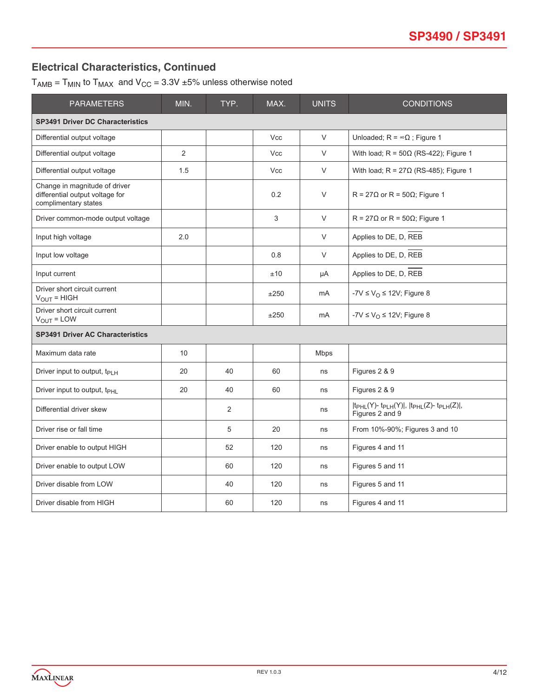# **Electrical Characteristics, Continued**

 $T_{AMB}$  =  $T_{MIN}$  to  $T_{MAX}$  and  $V_{CC}$  = 3.3V  $\pm 5\%$  unless otherwise noted

| <b>PARAMETERS</b>                                                                        | MIN. | TYP. | MAX.       | <b>UNITS</b>   | <b>CONDITIONS</b>                                                                  |
|------------------------------------------------------------------------------------------|------|------|------------|----------------|------------------------------------------------------------------------------------|
| <b>SP3491 Driver DC Characteristics</b>                                                  |      |      |            |                |                                                                                    |
| Differential output voltage                                                              |      |      | <b>Vcc</b> | V              | Unloaded; $R = \infty \Omega$ ; Figure 1                                           |
| Differential output voltage                                                              | 2    |      | <b>Vcc</b> | V              | With load; $R = 50\Omega$ (RS-422); Figure 1                                       |
| Differential output voltage                                                              | 1.5  |      | <b>Vcc</b> | V              | With load; $R = 27\Omega$ (RS-485); Figure 1                                       |
| Change in magnitude of driver<br>differential output voltage for<br>complimentary states |      |      | 0.2        | V              | $R = 27\Omega$ or $R = 50\Omega$ ; Figure 1                                        |
| Driver common-mode output voltage                                                        |      |      | 3          | V              | $R = 27\Omega$ or $R = 50\Omega$ ; Figure 1                                        |
| Input high voltage                                                                       | 2.0  |      |            | V              | Applies to DE, D, REB                                                              |
| Input low voltage                                                                        |      |      | 0.8        | V              | Applies to DE, D, REB                                                              |
| Input current                                                                            |      |      | ±10        | μA             | Applies to DE, D, REB                                                              |
| Driver short circuit current<br>$V_{OUT} = HIGH$                                         |      |      | ±250       | m <sub>A</sub> | -7V $\leq$ V <sub>O</sub> $\leq$ 12V; Figure 8                                     |
| Driver short circuit current<br>$V_{OUT} = LOW$                                          |      |      | ±250       | m <sub>A</sub> | -7V $\leq$ V <sub>O</sub> $\leq$ 12V; Figure 8                                     |
| <b>SP3491 Driver AC Characteristics</b>                                                  |      |      |            |                |                                                                                    |
| Maximum data rate                                                                        | 10   |      |            | <b>Mbps</b>    |                                                                                    |
| Driver input to output, t <sub>PLH</sub>                                                 | 20   | 40   | 60         | ns             | Figures 2 & 9                                                                      |
| Driver input to output, t <sub>PHL</sub>                                                 | 20   | 40   | 60         | ns             | Figures 2 & 9                                                                      |
| Differential driver skew                                                                 |      | 2    |            | ns             | $ t_{PHL}(Y)$ - $t_{PLH}(Y) $ , $ t_{PHL}(Z)$ - $t_{PLH}(Z) $ ,<br>Figures 2 and 9 |
| Driver rise or fall time                                                                 |      | 5    | 20         | ns             | From 10%-90%; Figures 3 and 10                                                     |
| Driver enable to output HIGH                                                             |      | 52   | 120        | ns             | Figures 4 and 11                                                                   |
| Driver enable to output LOW                                                              |      | 60   | 120        | ns             | Figures 5 and 11                                                                   |
| Driver disable from LOW                                                                  |      | 40   | 120        | ns             | Figures 5 and 11                                                                   |
| Driver disable from HIGH                                                                 |      | 60   | 120        | ns             | Figures 4 and 11                                                                   |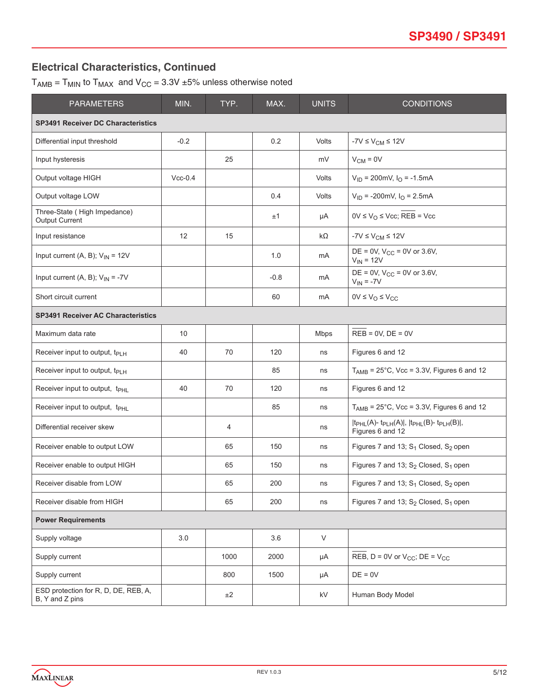## **Electrical Characteristics, Continued**

 $T_{AMB}$  =  $T_{MIN}$  to  $T_{MAX}$  and  $V_{CC}$  = 3.3V  $\pm 5\%$  unless otherwise noted

| <b>PARAMETERS</b>                                       | MIN.      | TYP. | MAX.   | <b>UNITS</b> | <b>CONDITIONS</b>                                                                   |
|---------------------------------------------------------|-----------|------|--------|--------------|-------------------------------------------------------------------------------------|
| <b>SP3491 Receiver DC Characteristics</b>               |           |      |        |              |                                                                                     |
| Differential input threshold                            | $-0.2$    |      | 0.2    | Volts        | -7 $V \leq V_{CM} \leq 12V$                                                         |
| Input hysteresis                                        |           | 25   |        | mV           | $V_{CM} = 0V$                                                                       |
| Output voltage HIGH                                     | $Vcc-0.4$ |      |        | Volts        | $V_{ID}$ = 200mV, $I_{O}$ = -1.5mA                                                  |
| Output voltage LOW                                      |           |      | 0.4    | Volts        | $V_{ID}$ = -200mV, $I_{O}$ = 2.5mA                                                  |
| Three-State (High Impedance)<br><b>Output Current</b>   |           |      | ±1     | μA           | $0V \le V_O \le Vcc$ ; REB = Vcc                                                    |
| Input resistance                                        | 12        | 15   |        | kΩ           | $-7V \leq V_{CM} \leq 12V$                                                          |
| Input current (A, B); $V_{IN} = 12V$                    |           |      | 1.0    | mA           | DE = 0V, $V_{CC}$ = 0V or 3.6V,<br>$V_{IN}$ = 12V                                   |
| Input current (A, B); $V_{IN} = -7V$                    |           |      | $-0.8$ | mA           | DE = 0V, $V_{CC}$ = 0V or 3.6V,<br>$V_{IN} = -7V$                                   |
| Short circuit current                                   |           |      | 60     | mA           | $0V \leq V_O \leq V_{CC}$                                                           |
| <b>SP3491 Receiver AC Characteristics</b>               |           |      |        |              |                                                                                     |
| Maximum data rate                                       | 10        |      |        | <b>Mbps</b>  | $REB = 0V$ , $DE = 0V$                                                              |
| Receiver input to output, t <sub>PLH</sub>              | 40        | 70   | 120    | ns           | Figures 6 and 12                                                                    |
| Receiver input to output, t <sub>PLH</sub>              |           |      | 85     | ns           | $T_{AMB}$ = 25°C, Vcc = 3.3V, Figures 6 and 12                                      |
| Receiver input to output, t <sub>PHL</sub>              | 40        | 70   | 120    | ns           | Figures 6 and 12                                                                    |
| Receiver input to output, t <sub>PHL</sub>              |           |      | 85     | ns           | $T_{AMB}$ = 25°C, Vcc = 3.3V, Figures 6 and 12                                      |
| Differential receiver skew                              |           | 4    |        | ns           | $ t_{PHL}(A)$ - $t_{PLH}(A) $ , $ t_{PHL}(B)$ - $t_{PLH}(B) $ ,<br>Figures 6 and 12 |
| Receiver enable to output LOW                           |           | 65   | 150    | ns           | Figures 7 and 13; $S_1$ Closed, $S_2$ open                                          |
| Receiver enable to output HIGH                          |           | 65   | 150    | ns           | Figures 7 and 13; $S_2$ Closed, $S_1$ open                                          |
| Receiver disable from LOW                               |           | 65   | 200    | ns           | Figures 7 and 13; $S_1$ Closed, $S_2$ open                                          |
| Receiver disable from HIGH                              |           | 65   | 200    | ns           | Figures 7 and 13; S <sub>2</sub> Closed, S <sub>1</sub> open                        |
| <b>Power Requirements</b>                               |           |      |        |              |                                                                                     |
| Supply voltage                                          | 3.0       |      | 3.6    | V            |                                                                                     |
| Supply current                                          |           | 1000 | 2000   | μA           | REB, $D = 0V$ or $V_{CC}$ ; $DE = V_{CC}$                                           |
| Supply current                                          |           | 800  | 1500   | μA           | $DE = 0V$                                                                           |
| ESD protection for R, D, DE, REB, A,<br>B, Y and Z pins |           | ±2   |        | kV           | Human Body Model                                                                    |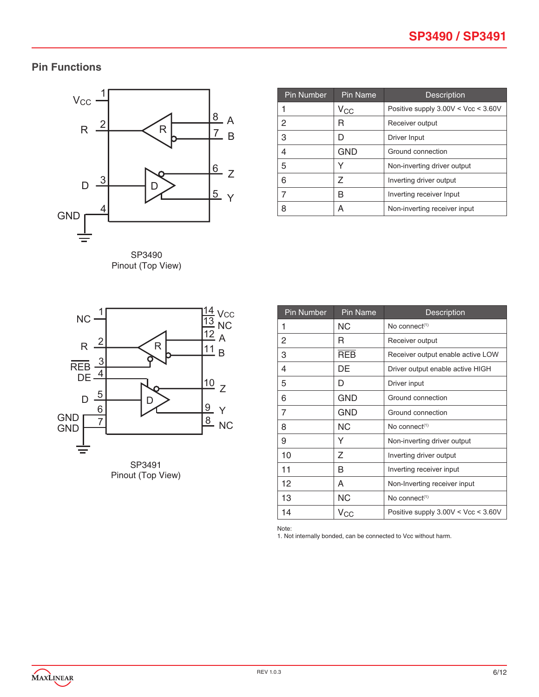# **Pin Functions**



SP3490 Pinout (Top View)

| <b>Pin Number</b> | Pin Name     | <b>Description</b>                    |  |  |  |
|-------------------|--------------|---------------------------------------|--|--|--|
|                   | $V_{\rm CC}$ | Positive supply $3.00V < Vcc < 3.60V$ |  |  |  |
| 2                 | R            | Receiver output                       |  |  |  |
| 3                 | D            | Driver Input                          |  |  |  |
| 4                 | <b>GND</b>   | Ground connection                     |  |  |  |
| 5                 |              | Non-inverting driver output           |  |  |  |
| 6                 | Z            | Inverting driver output               |  |  |  |
| 7                 | R            | Inverting receiver Input              |  |  |  |
| 8                 | А            | Non-inverting receiver input          |  |  |  |





| <b>Pin Number</b> | <b>Pin Name</b>  | <b>Description</b>                    |
|-------------------|------------------|---------------------------------------|
| 1                 | ΝC               | No connect $(1)$                      |
| 2                 | R                | Receiver output                       |
| 3                 | <b>REB</b>       | Receiver output enable active LOW     |
| 4                 | DE               | Driver output enable active HIGH      |
| 5                 | D                | Driver input                          |
| 6                 | GND              | Ground connection                     |
| 7                 | GND              | Ground connection                     |
| 8                 | <b>NC</b>        | No connect $(1)$                      |
| 9                 | Y                | Non-inverting driver output           |
| 10                | Ζ                | Inverting driver output               |
| 11                | В                | Inverting receiver input              |
| 12                | A                | Non-Inverting receiver input          |
| 13                | NС               | No connect $(1)$                      |
| 14                | $\rm v_{\rm CC}$ | Positive supply $3.00V < Vcc < 3.60V$ |

Note:

1. Not internally bonded, can be connected to Vcc without harm.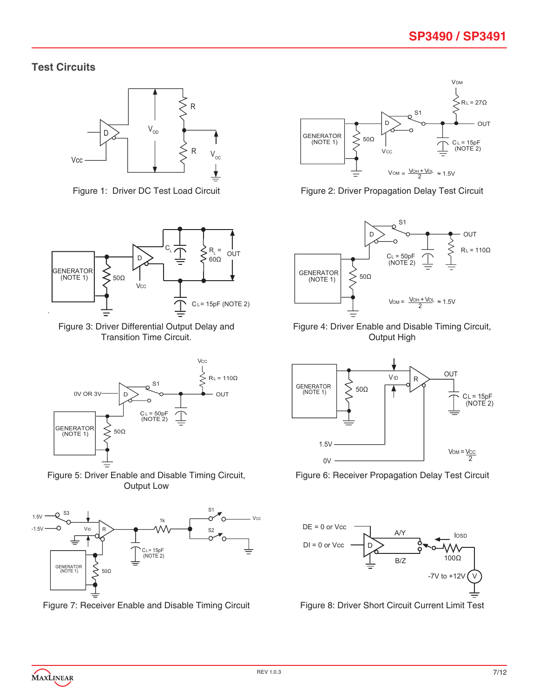### **Test Circuits**





Figure 3: Driver Differential Output Delay and Transition Time Circuit.



Figure 5: Driver Enable and Disable Timing Circuit, Output Low



Figure 7: Receiver Enable and Disable Timing Circuit Figure 8: Driver Short Circuit Current Limit Test



Figure 1: Driver DC Test Load Circuit Figure 2: Driver Propagation Delay Test Circuit



Figure 4: Driver Enable and Disable Timing Circuit, Output High



Figure 6: Receiver Propagation Delay Test Circuit

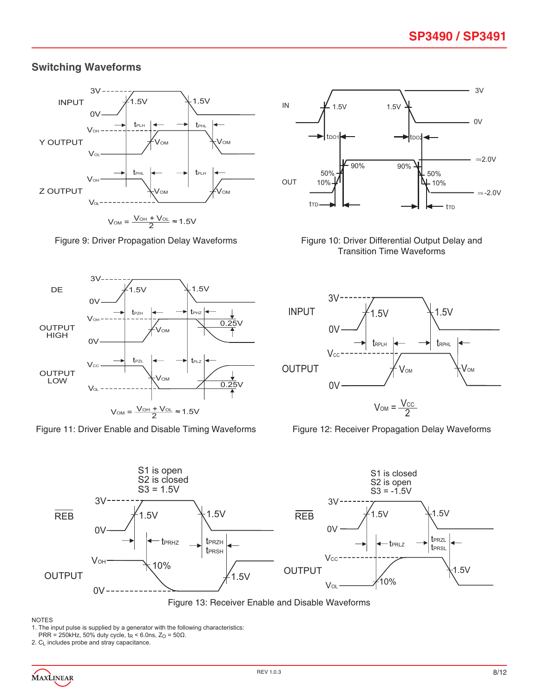# **Switching Waveforms**





Figure 11: Driver Enable and Disable Timing Waveforms Figure 12: Receiver Propagation Delay Waveforms



Figure 9: Driver Propagation Delay Waveforms Figure 10: Driver Differential Output Delay and Transition Time Waveforms





Figure 13: Receiver Enable and Disable Waveforms

#### NOTES

1. The input pulse is supplied by a generator with the following characteristics:

PRR = 250kHz, 50% duty cycle,  $t_R$  < 6.0ns,  $Z_O$  = 50 $\Omega$ .

2. C<sub>L</sub> includes probe and stray capacitance.

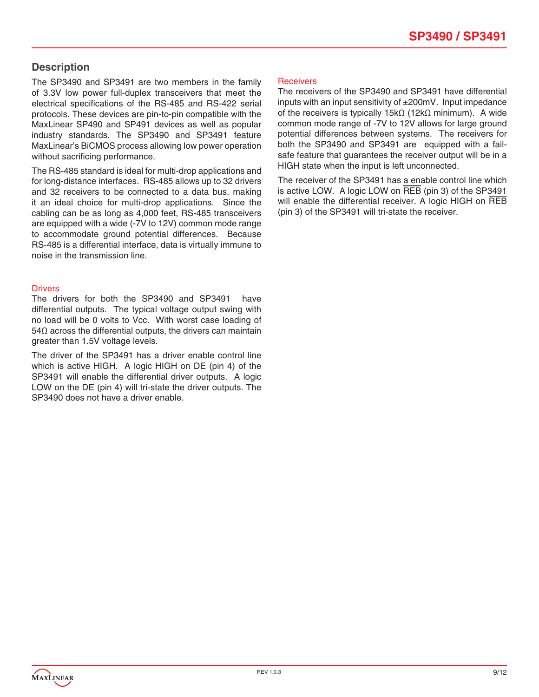### **Description**

The SP3490 and SP3491 are two members in the family of 3.3V low power full-duplex transceivers that meet the electrical specifications of the RS-485 and RS-422 serial protocols. These devices are pin-to-pin compatible with the MaxLinear SP490 and SP491 devices as well as popular industry standards. The SP3490 and SP3491 feature MaxLinear's BiCMOS process allowing low power operation without sacrificing performance.

The RS-485 standard is ideal for multi-drop applications and for long-distance interfaces. RS-485 allows up to 32 drivers and 32 receivers to be connected to a data bus, making it an ideal choice for multi-drop applications. Since the cabling can be as long as 4,000 feet, RS-485 transceivers are equipped with a wide (-7V to 12V) common mode range to accommodate ground potential differences. Because RS-485 is a differential interface, data is virtually immune to noise in the transmission line.

#### **Drivers**

The drivers for both the SP3490 and SP3491 have differential outputs. The typical voltage output swing with no load will be 0 volts to Vcc. With worst case loading of 54Ω across the differential outputs, the drivers can maintain greater than 1.5V voltage levels.

The driver of the SP3491 has a driver enable control line which is active HIGH. A logic HIGH on DE (pin 4) of the SP3491 will enable the differential driver outputs. A logic LOW on the DE (pin 4) will tri-state the driver outputs. The SP3490 does not have a driver enable.

#### **Receivers**

The receivers of the SP3490 and SP3491 have differential inputs with an input sensitivity of ±200mV. Input impedance of the receivers is typically 15kΩ (12kΩ minimum). A wide common mode range of -7V to 12V allows for large ground potential differences between systems. The receivers for both the SP3490 and SP3491 are equipped with a failsafe feature that guarantees the receiver output will be in a HIGH state when the input is left unconnected.

The receiver of the SP3491 has a enable control line which is active LOW. A logic LOW on REB (pin 3) of the SP3491 will enable the differential receiver. A logic HIGH on REB (pin 3) of the SP3491 will tri-state the receiver.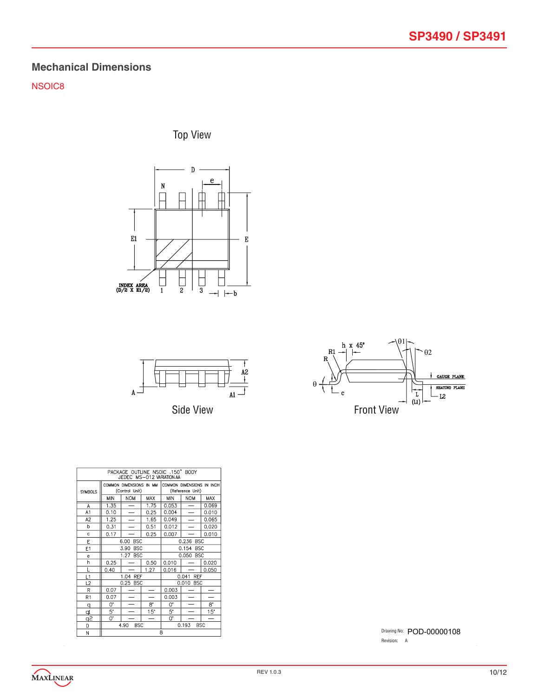# **Mechanical Dimensions**

NSOIC8

Top View







| PACKAGE OUTLINE NSOIC .150" BODY<br>JEDEC MS-012 VARIATION AA |      |                                           |                          |                                               |                          |            |  |
|---------------------------------------------------------------|------|-------------------------------------------|--------------------------|-----------------------------------------------|--------------------------|------------|--|
| <b>SYMBOLS</b>                                                |      | COMMON DIMENSIONS IN MM<br>(Control Unit) |                          | COMMON DIMENSIONS IN INCH<br>(Reference Unit) |                          |            |  |
|                                                               | MIN  | <b>NOM</b>                                | MAX                      | <b>MIN</b>                                    | <b>NOM</b>               | <b>MAX</b> |  |
| A                                                             | 1.35 | —                                         | 1.75                     | 0.053                                         | $\overline{\phantom{0}}$ | 0.069      |  |
| A1                                                            | 0.10 | $\overline{\phantom{0}}$                  | 0.25                     | 0.004                                         | $\overline{\phantom{0}}$ | 0.010      |  |
| A <sub>2</sub>                                                | 1.25 | $\overline{\phantom{0}}$                  | 1.65                     | 0.049                                         |                          | 0.065      |  |
| h                                                             | 0.31 | $\overline{\phantom{0}}$<br>0.51<br>0.012 |                          |                                               |                          | 0.020      |  |
| Ċ                                                             | 0.17 |                                           | 0.25                     | 0.007                                         |                          | 0.010      |  |
| E                                                             |      | 6.00<br><b>BSC</b>                        |                          | 0.236 BSC                                     |                          |            |  |
| E1                                                            |      | <b>BSC</b><br>3.90                        |                          |                                               | 0.154<br><b>BSC</b>      |            |  |
| e                                                             |      | 1.27 BSC                                  |                          | 0.050<br><b>BSC</b>                           |                          |            |  |
| h                                                             | 0.25 |                                           | 0.50                     | 0.010                                         |                          | 0.020      |  |
| L                                                             | 0.40 |                                           | 1.27                     | 0.016                                         |                          | 0.050      |  |
| L1                                                            |      | 1.04 REF                                  |                          |                                               | 0.041 REF                |            |  |
| L2                                                            |      | 0.25 BSC                                  |                          |                                               | 0.010 BSC                |            |  |
| R                                                             | 0.07 |                                           |                          | 0.003                                         |                          |            |  |
| R <sub>1</sub>                                                | 0.07 |                                           |                          | 0.003                                         |                          |            |  |
| q                                                             | 0.   |                                           | 8.                       | 0.                                            |                          | 8.         |  |
| þ                                                             | 5.   |                                           | 15"                      | 5.                                            |                          | 15"        |  |
| ڇو                                                            | 0.   |                                           | $\overline{\phantom{0}}$ | 0.                                            |                          | -          |  |
| D                                                             |      | 4.90<br><b>BSC</b>                        |                          |                                               | 0.193<br><b>BSC</b>      |            |  |
| M                                                             | R    |                                           |                          |                                               |                          |            |  |

Drawing No: POD-00000108 Revision: A

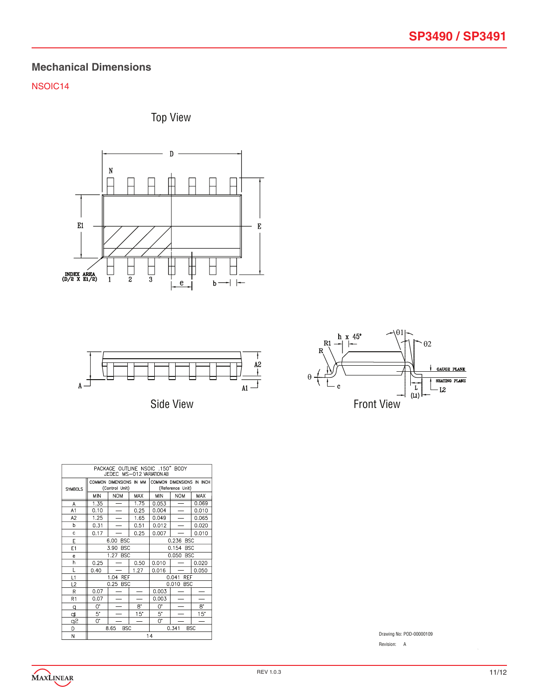## **Mechanical Dimensions**

### NSOIC14







Side View



| PACKAGE OUTLINE NSOIC .150" BODY<br>JEDEC MS-012 VARIATION AB |                |                                           |                          |                     |                     |                           |
|---------------------------------------------------------------|----------------|-------------------------------------------|--------------------------|---------------------|---------------------|---------------------------|
| <b>SYMBOLS</b>                                                |                | COMMON DIMENSIONS IN MM<br>(Control Unit) |                          |                     | (Reference Unit)    | COMMON DIMENSIONS IN INCH |
|                                                               | <b>MIN</b>     | <b>NOM</b>                                | <b>MAX</b>               | <b>MIN</b>          | <b>NOM</b>          | <b>MAX</b>                |
| A                                                             | 1.35           |                                           | 1.75                     | 0.053               |                     | 0.069                     |
| A1                                                            | 0.10           |                                           | 0.25                     | 0.004               |                     | 0.010                     |
| A <sub>2</sub>                                                | 1.25           |                                           | 1.65                     | 0.049               |                     | 0.065                     |
| þ                                                             | 0.31           |                                           | 0.51                     | 0.012               |                     | 0.020                     |
| Ċ                                                             | 0.17           |                                           | 0.25                     | 0.007               |                     | 0.010                     |
| E                                                             |                | 6.00<br><b>BSC</b>                        |                          | 0.236 BSC           |                     |                           |
| E1                                                            |                | <b>BSC</b><br>3.90                        |                          | 0.154<br><b>BSC</b> |                     |                           |
| e                                                             |                | <b>BSC</b><br>1.27                        |                          | 0.050<br><b>BSC</b> |                     |                           |
| h                                                             | 0.25           |                                           | 0.50                     | 0.010               |                     | 0.020                     |
| L                                                             | 0.40           |                                           | 1.27                     | 0.016               |                     | 0.050                     |
| L1                                                            |                | 1.04 REF                                  |                          |                     | 0.041<br><b>REF</b> |                           |
| L2                                                            |                | 0.25 BSC                                  |                          |                     | 0.010 BSC           |                           |
| R                                                             | 0.07           |                                           |                          | 0.003               |                     |                           |
| R1                                                            | 0.07           |                                           |                          | 0.003               |                     |                           |
| q                                                             | Q.             |                                           | 8.                       | O.                  |                     | $8^{\circ}$               |
| Þ                                                             | 5.             |                                           | $15^{\circ}$             | 5.                  |                     | $15^{\circ}$              |
| q2                                                            | 0.             |                                           | $\overline{\phantom{0}}$ | 0.                  |                     | $\overline{\phantom{0}}$  |
| D                                                             |                | 8.65<br><b>BSC</b>                        |                          |                     | 0.341               | <b>BSC</b>                |
| M                                                             | 1 <sub>A</sub> |                                           |                          |                     |                     |                           |

Drawing No: POD-00000109

Revision: A